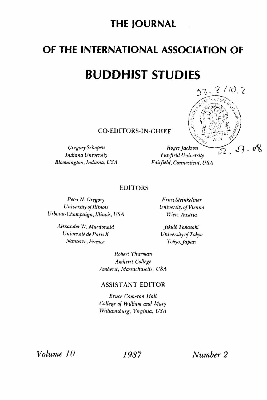# **THE JOURNAL**

# **OF THE INTERNATIONAL ASSOCIATION OF**

# **BUDDHIST STUDIES**



**CO-EDITORS-IN-CHIEF** 

*Bloomington, Indiana, USA Fairfield, Connecticut, USA* 

*Indiana University Fairfield University* 

#### **EDITORS**

*Peter N. Gregory Ernst Steinkellner University of Illinois University of Vienna Urbana-Champaign, Illinois, USA Wien, Austria* 

*Alexander W. Macdonald Jikido Takasaki University de Paris X University of Tokyo Nanterre, France Tokyo,Japan* 

*Robert Thurman Amherst College Amherst, Massachusetts, USA* 

#### **ASSISTANT EDITOR**

*Bruce Cameron Hall College of William and Mary Williamsburg, Virginia, USA*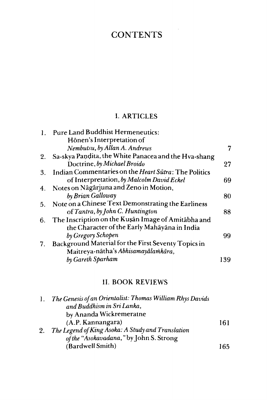## **CONTENTS**

### I. ARTICLES

|    | Pure Land Buddhist Hermeneutics:                     |     |
|----|------------------------------------------------------|-----|
|    | Hōnen's Interpretation of                            |     |
|    | Nembutsu, by Allan A. Andrews                        | 7   |
| 2. | Sa-skya Pandita, the White Panacea and the Hva-shang |     |
|    | Doctrine, by Michael Broido                          | 27  |
| 3. | Indian Commentaries on the Heart Sūtra: The Politics |     |
|    | of Interpretation, by Malcolm David Eckel            | 69  |
| 4. | Notes on Nāgārjuna and Zeno in Motion,               |     |
|    | by Brian Galloway                                    | 80  |
| 5. | Note on a Chinese Text Demonstrating the Earliness   |     |
|    | of Tantra, by John C. Huntington                     | 88  |
| 6. | The Inscription on the Kusan Image of Amitabha and   |     |
|    | the Character of the Early Mahāyāna in India         |     |
|    | by Gregory Schopen                                   | 99  |
| 7. | Background Material for the First Seventy Topics in  |     |
|    | Maitreya-nātha's Abhisamayālamkāra,                  |     |
|    | by Gareth Sparham                                    | 139 |
|    |                                                      |     |

### II. BOOK REVIEWS

| 1. | The Genesis of an Orientalist: Thomas William Rhys Davids |     |
|----|-----------------------------------------------------------|-----|
|    | and Buddhism in Sri Lanka.                                |     |
|    | by Ananda Wickremeratne                                   |     |
|    | (A.P. Kannangara)                                         | 161 |
| 2. | The Legend of King Asoka: A Study and Translation         |     |
|    | of the "Asokavadana," by John S. Strong                   |     |
|    | (Bardwell Smith)                                          | 165 |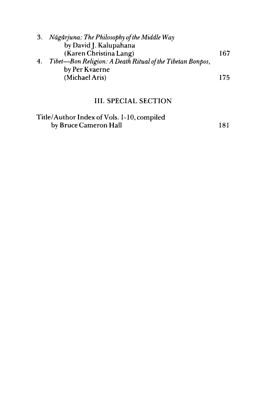| 3. | Nāgārjuna: The Philosophy of the Middle Way               |     |
|----|-----------------------------------------------------------|-----|
|    | by David J. Kalupahana                                    |     |
|    | (Karen Christina Lang)                                    | 167 |
| 4. | Tibet—Bon Religion: A Death Ritual of the Tibetan Bonpos, |     |
|    | by Per Kvaerne                                            |     |
|    | (Michael Aris)                                            | 175 |
|    |                                                           |     |

### **III. SPECIAL SECTION**

| Title/Author Index of Vols. 1-10, compiled |      |
|--------------------------------------------|------|
| by Bruce Cameron Hall                      | -181 |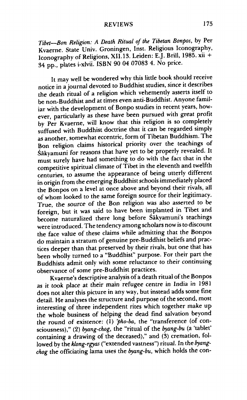#### REVIEWS 175

*Tibet—Bon Religion: A Death Ritual of the Tibetan Bonpos,* by Per Kvaerne, State Univ. Groningen, Inst. Religious Iconography, Iconography of Religions, XII.13. Leiden: EJ. Brill, 1985. xii + 34 pp., plates i-xlvii. ISBN 90 04 07083 4. No price.

It may well be wondered why this little book should receive notice in a journal devoted to Buddhist studies, since it describes the death ritual of a religion which vehemently asserts itself to be non-Buddhist and at times even anti-Buddhist. Anyone familiar with the development of Bonpo studies in recent years, however, particularly as these have been pursued with great profit by Per Kvaerne, will know that this religion is so completely suffused with Buddhist doctrine that it can be regarded simply as another, somewhat eccentric, form of Tibetan Buddhism. The Bon religion claims historical priority over the teachings of Sakyamuni for reasons that have yet to be properly revealed. It must surely have had something to do with the fact that in the competitive spiritual climate of Tibet in the eleventh and twelfth centuries, to assume the appearance of being utterly different in origin from the emerging Buddhist schools immediately placed the Bonpos on a level at once above and beyond their rivals, all of whom looked to the same foreign source for their legitimacy. True, the *source of* the Bon religion was also asserted to be foreign, but it was said to have been implanted in Tibet and become naturalized there long before Sakyamuni's teachings were introduced. The tendency among scholars now is to discount the face value of these claims while admitting that the Bonpos do maintain a stratum of genuine pre-Buddhist beliefs and practices deeper than that preserved by their rivals, but one that has been wholly turned to a "Buddhist" purpose. For their part the Buddhists admit only with some reluctance to their continuing observance of some pre-Buddhist practices.

Kvaerne's descriptive analysis of a death ritual of the Bonpos as it took place at their main refugee centre in India in 1981 does not alter this picture in any way, but instead adds some fine detail. He analyses the structure and purpose of the second, most interesting of three independent rites which together make up the whole business of helping the dead find salvation beyond the round of existence; (1) *'pho-ba,* the "transference (of consciousness)," (2) *byang-chog,* the "ritual of the *byang-bu* (a 'tablet' containing a drawing of the deceased)," and (3) cremation, followed by the *klong-rgyas* ("extended vastness") ritual. In the *byangchog* the officiating lama uses the *byang-bu,* which holds the con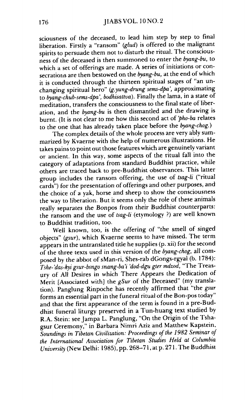sciousness of the deceased, to lead him step by step to final liberation. Firstly a "ransom" *(glud)* is offered to the malignant spirits to persuade them not to disturb the ritual. The consciousness of the deceased is then summoned to enter the *byang-bu,* to which a set of offerings are made. A series of initiations or consecrations are then bestowed on the *byang-bu,* at the end of which it is conducted through the thirteen spiritual stages of "an unchanging spiritual hero" *(g.yung-drung sems-dpa',* approximating to *byang-chub-sems-dpa', bodhisattva).* Finally the lama, in a state of meditation, transfers the consciousness to the final state of liberation, and the *byang-bu* is then dismantled and the drawing is burnt. (It is not clear to me how this second act of *'pho-ba* relates to the one that has already taken place before the *byang-chog.)* 

The complex details of the whole process are very ably summarized by Kvaerne with the help of numerous illustrations. He takes pains to point out those features which are genuinely variant or ancient. In this way, some aspects of the ritual fall into the category of adaptations from standard Buddhist practice, while others are traced back to pre-Buddhist observances. This latter group includes the ransom offering, the use of *tsag-li* ("ritual cards") for the presentation of offerings and other purposes, and the choice of a yak, horse and sheep to show the consciousness the way to liberation. But it seems only the role of these animals really separates the *Bonpos* from their Buddhist counterparts: the ransom and the use of *tsag-li* (etymology ?) are well known to Buddhist tradition, too.

Well known, too, is the offering of "the smell of singed objects" *(gsur),* which Kvaerne seems to have missed. The term appears in the untranslated title he supplies (p. xii) for the second of the three texts used in this version of the *byang-chog, all* composed by the abbot of sMan-ri, Shes-rab dGongs-rgyal (b. 1784): *Tshe-'dos-kyi gsur-bsngo snang-bai 'dod-dgu gter mdzod,* "The Treasury of All Desires in which There Appears the Dedication of Merit [Associated with] the *gSur* of the Deceased" (my translation). Panglung Rinpoche has recently affirmed that "the *gsur*  forms an essential part in the funeral ritual of the Bon-pos today" and that the first appearance of the term is found in a pre-Buddhist funeral liturgy preserved in a Tun-huang text studied by R.A. Stein: see Jampa L. Panglung, "On the Origin of the Tshagsur Ceremony," in Barbara Nimri Aziz and Matthew Kapstein. *Soundings in Tibetan Civilization: Proceedings of the 1982 Seminar of the International Association for Tibetan Studies Held at Columbia University* (New Delhi: 1985), pp. 268-71, at p. 271. The Buddhist